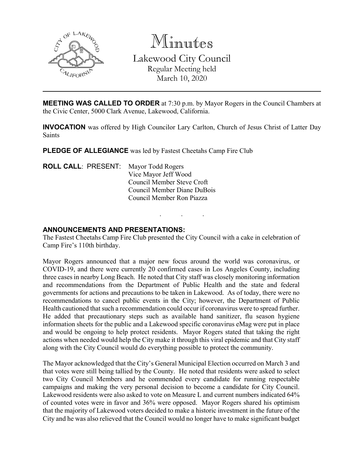

Minutes Lakewood City Council Regular Meeting held March 10, 2020

**MEETING WAS CALLED TO ORDER** at 7:30 p.m. by Mayor Rogers in the Council Chambers at the Civic Center, 5000 Clark Avenue, Lakewood, California.

**INVOCATION** was offered by High Councilor Lary Carlton, Church of Jesus Christ of Latter Day Saints

**PLEDGE OF ALLEGIANCE** was led by Fastest Cheetahs Camp Fire Club

**ROLL CALL**: PRESENT: Mayor Todd Rogers Vice Mayor Jeff Wood Council Member Steve Croft Council Member Diane DuBois Council Member Ron Piazza

### **ANNOUNCEMENTS AND PRESENTATIONS:**

The Fastest Cheetahs Camp Fire Club presented the City Council with a cake in celebration of Camp Fire's 110th birthday.

. . .

Mayor Rogers announced that a major new focus around the world was coronavirus, or COVID-19, and there were currently 20 confirmed cases in Los Angeles County, including three cases in nearby Long Beach. He noted that City staff was closely monitoring information and recommendations from the Department of Public Health and the state and federal governments for actions and precautions to be taken in Lakewood. As of today, there were no recommendations to cancel public events in the City; however, the Department of Public Health cautioned that such a recommendation could occur if coronavirus were to spread further. He added that precautionary steps such as available hand sanitizer, flu season hygiene information sheets for the public and a Lakewood specific coronavirus eMag were put in place and would be ongoing to help protect residents. Mayor Rogers stated that taking the right actions when needed would help the City make it through this viral epidemic and that City staff along with the City Council would do everything possible to protect the community.

The Mayor acknowledged that the City's General Municipal Election occurred on March 3 and that votes were still being tallied by the County. He noted that residents were asked to select two City Council Members and he commended every candidate for running respectable campaigns and making the very personal decision to become a candidate for City Council. Lakewood residents were also asked to vote on Measure L and current numbers indicated 64% of counted votes were in favor and 36% were opposed. Mayor Rogers shared his optimism that the majority of Lakewood voters decided to make a historic investment in the future of the City and he was also relieved that the Council would no longer have to make significant budget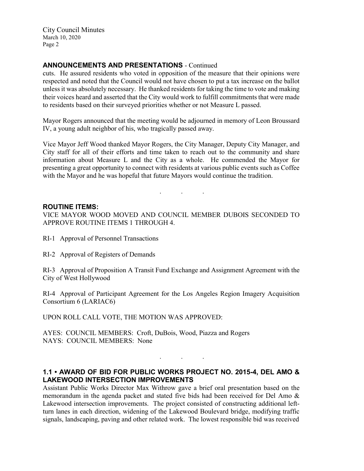City Council Minutes March 10, 2020 Page 2

# **ANNOUNCEMENTS AND PRESENTATIONS** - Continued

cuts. He assured residents who voted in opposition of the measure that their opinions were respected and noted that the Council would not have chosen to put a tax increase on the ballot unless it was absolutely necessary. He thanked residents for taking the time to vote and making their voices heard and asserted that the City would work to fulfill commitments that were made to residents based on their surveyed priorities whether or not Measure L passed.

Mayor Rogers announced that the meeting would be adjourned in memory of Leon Broussard IV, a young adult neighbor of his, who tragically passed away.

Vice Mayor Jeff Wood thanked Mayor Rogers, the City Manager, Deputy City Manager, and City staff for all of their efforts and time taken to reach out to the community and share information about Measure L and the City as a whole. He commended the Mayor for presenting a great opportunity to connect with residents at various public events such as Coffee with the Mayor and he was hopeful that future Mayors would continue the tradition.

### **ROUTINE ITEMS:**

VICE MAYOR WOOD MOVED AND COUNCIL MEMBER DUBOIS SECONDED TO APPROVE ROUTINE ITEMS 1 THROUGH 4.

. . .

- RI-1 Approval of Personnel Transactions
- RI-2 Approval of Registers of Demands

RI-3 Approval of Proposition A Transit Fund Exchange and Assignment Agreement with the City of West Hollywood

RI-4 Approval of Participant Agreement for the Los Angeles Region Imagery Acquisition Consortium 6 (LARIAC6)

UPON ROLL CALL VOTE, THE MOTION WAS APPROVED:

AYES: COUNCIL MEMBERS: Croft, DuBois, Wood, Piazza and Rogers NAYS: COUNCIL MEMBERS: None

## **1.1 • AWARD OF BID FOR PUBLIC WORKS PROJECT NO. 2015-4, DEL AMO & LAKEWOOD INTERSECTION IMPROVEMENTS**

. . .

Assistant Public Works Director Max Withrow gave a brief oral presentation based on the memorandum in the agenda packet and stated five bids had been received for Del Amo & Lakewood intersection improvements. The project consisted of constructing additional leftturn lanes in each direction, widening of the Lakewood Boulevard bridge, modifying traffic signals, landscaping, paving and other related work. The lowest responsible bid was received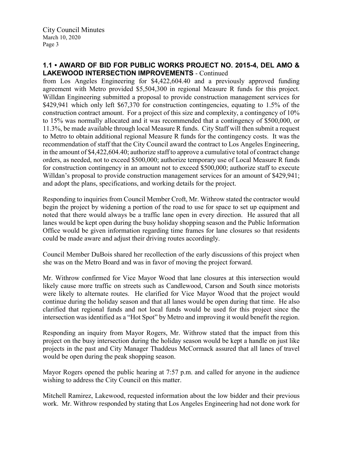# **1.1 • AWARD OF BID FOR PUBLIC WORKS PROJECT NO. 2015-4, DEL AMO & LAKEWOOD INTERSECTION IMPROVEMENTS** - Continued

from Los Angeles Engineering for \$4,422,604.40 and a previously approved funding agreement with Metro provided \$5,504,300 in regional Measure R funds for this project. Willdan Engineering submitted a proposal to provide construction management services for \$429,941 which only left \$67,370 for construction contingencies, equating to 1.5% of the construction contract amount. For a project of this size and complexity, a contingency of 10% to 15% was normally allocated and it was recommended that a contingency of \$500,000, or 11.3%, be made available through local Measure R funds. City Staff will then submit a request to Metro to obtain additional regional Measure R funds for the contingency costs. It was the recommendation of staff that the City Council award the contract to Los Angeles Engineering, in the amount of \$4,422,604.40; authorize staff to approve a cumulative total of contract change orders, as needed, not to exceed \$500,000; authorize temporary use of Local Measure R funds for construction contingency in an amount not to exceed \$500,000; authorize staff to execute Willdan's proposal to provide construction management services for an amount of \$429,941; and adopt the plans, specifications, and working details for the project.

Responding to inquiries from Council Member Croft, Mr. Withrow stated the contractor would begin the project by widening a portion of the road to use for space to set up equipment and noted that there would always be a traffic lane open in every direction. He assured that all lanes would be kept open during the busy holiday shopping season and the Public Information Office would be given information regarding time frames for lane closures so that residents could be made aware and adjust their driving routes accordingly.

Council Member DuBois shared her recollection of the early discussions of this project when she was on the Metro Board and was in favor of moving the project forward.

Mr. Withrow confirmed for Vice Mayor Wood that lane closures at this intersection would likely cause more traffic on streets such as Candlewood, Carson and South since motorists were likely to alternate routes. He clarified for Vice Mayor Wood that the project would continue during the holiday season and that all lanes would be open during that time. He also clarified that regional funds and not local funds would be used for this project since the intersection was identified as a "Hot Spot" by Metro and improving it would benefit the region.

Responding an inquiry from Mayor Rogers, Mr. Withrow stated that the impact from this project on the busy intersection during the holiday season would be kept a handle on just like projects in the past and City Manager Thaddeus McCormack assured that all lanes of travel would be open during the peak shopping season.

Mayor Rogers opened the public hearing at 7:57 p.m. and called for anyone in the audience wishing to address the City Council on this matter.

Mitchell Ramirez, Lakewood, requested information about the low bidder and their previous work. Mr. Withrow responded by stating that Los Angeles Engineering had not done work for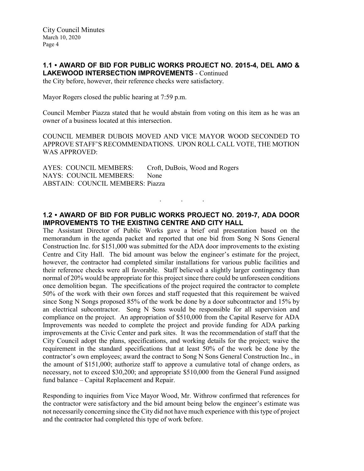## **1.1 • AWARD OF BID FOR PUBLIC WORKS PROJECT NO. 2015-4, DEL AMO & LAKEWOOD INTERSECTION IMPROVEMENTS** - Continued

the City before, however, their reference checks were satisfactory.

Mayor Rogers closed the public hearing at 7:59 p.m.

Council Member Piazza stated that he would abstain from voting on this item as he was an owner of a business located at this intersection.

COUNCIL MEMBER DUBOIS MOVED AND VICE MAYOR WOOD SECONDED TO APPROVE STAFF'S RECOMMENDATIONS. UPON ROLL CALL VOTE, THE MOTION WAS APPROVED:

AYES: COUNCIL MEMBERS: Croft, DuBois, Wood and Rogers NAYS: COUNCIL MEMBERS: None ABSTAIN: COUNCIL MEMBERS: Piazza

# **1.2 • AWARD OF BID FOR PUBLIC WORKS PROJECT NO. 2019-7, ADA DOOR IMPROVEMENTS TO THE EXISTING CENTRE AND CITY HALL**

. . .

The Assistant Director of Public Works gave a brief oral presentation based on the memorandum in the agenda packet and reported that one bid from Song N Sons General Construction Inc. for \$151,000 was submitted for the ADA door improvements to the existing Centre and City Hall. The bid amount was below the engineer's estimate for the project, however, the contractor had completed similar installations for various public facilities and their reference checks were all favorable. Staff believed a slightly larger contingency than normal of 20% would be appropriate for this project since there could be unforeseen conditions once demolition began. The specifications of the project required the contractor to complete 50% of the work with their own forces and staff requested that this requirement be waived since Song N Songs proposed 85% of the work be done by a door subcontractor and 15% by an electrical subcontractor. Song N Sons would be responsible for all supervision and compliance on the project. An appropriation of \$510,000 from the Capital Reserve for ADA Improvements was needed to complete the project and provide funding for ADA parking improvements at the Civic Center and park sites. It was the recommendation of staff that the City Council adopt the plans, specifications, and working details for the project; waive the requirement in the standard specifications that at least 50% of the work be done by the contractor's own employees; award the contract to Song N Sons General Construction Inc., in the amount of \$151,000; authorize staff to approve a cumulative total of change orders, as necessary, not to exceed \$30,200; and appropriate \$510,000 from the General Fund assigned fund balance – Capital Replacement and Repair.

Responding to inquiries from Vice Mayor Wood, Mr. Withrow confirmed that references for the contractor were satisfactory and the bid amount being below the engineer's estimate was not necessarily concerning since the City did not have much experience with this type of project and the contractor had completed this type of work before.